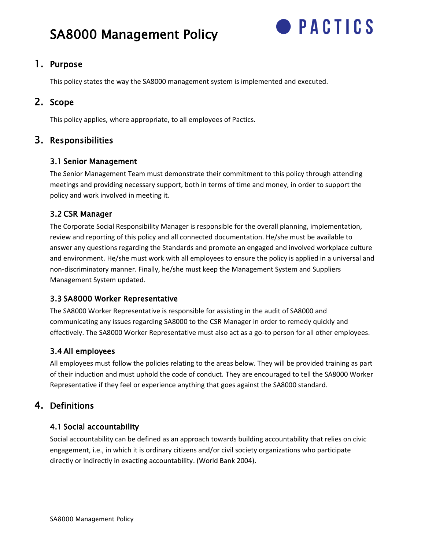# SA8000 Management Policy



# 1. Purpose

This policy states the way the SA8000 management system is implemented and executed.

# 2. Scope

This policy applies, where appropriate, to all employees of Pactics.

## 3. Responsibilities

## 3.1 Senior Management

The Senior Management Team must demonstrate their commitment to this policy through attending meetings and providing necessary support, both in terms of time and money, in order to support the policy and work involved in meeting it.

## 3.2 CSR Manager

The Corporate Social Responsibility Manager is responsible for the overall planning, implementation, review and reporting of this policy and all connected documentation. He/she must be available to answer any questions regarding the Standards and promote an engaged and involved workplace culture and environment. He/she must work with all employees to ensure the policy is applied in a universal and non-discriminatory manner. Finally, he/she must keep the Management System and Suppliers Management System updated.

## 3.3 SA8000 Worker Representative

The SA8000 Worker Representative is responsible for assisting in the audit of SA8000 and communicating any issues regarding SA8000 to the CSR Manager in order to remedy quickly and effectively. The SA8000 Worker Representative must also act as a go-to person for all other employees.

## 3.4 All employees

All employees must follow the policies relating to the areas below. They will be provided training as part of their induction and must uphold the code of conduct. They are encouraged to tell the SA8000 Worker Representative if they feel or experience anything that goes against the SA8000 standard.

## 4. Definitions

## 4.1 Social accountability

Social accountability can be defined as an approach towards building accountability that relies on civic engagement, i.e., in which it is ordinary citizens and/or civil society organizations who participate directly or indirectly in exacting accountability. (World Bank 2004).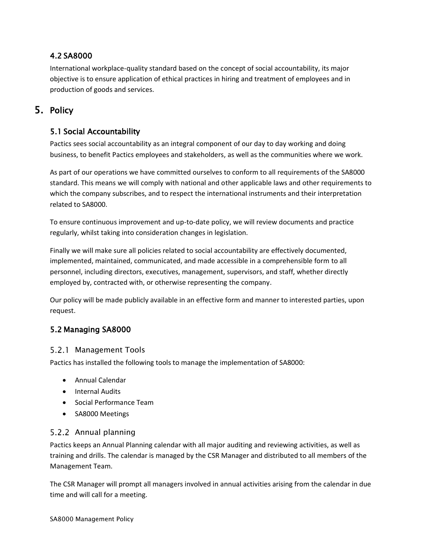## 4.2 SA8000

International workplace-quality standard based on the concept of social accountability, its major objective is to ensure application of ethical practices in hiring and treatment of employees and in production of goods and services.

# 5. Policy

## 5.1 Social Accountability

Pactics sees social accountability as an integral component of our day to day working and doing business, to benefit Pactics employees and stakeholders, as well as the communities where we work.

As part of our operations we have committed ourselves to conform to all requirements of the SA8000 standard. This means we will comply with national and other applicable laws and other requirements to which the company subscribes, and to respect the international instruments and their interpretation related to SA8000.

To ensure continuous improvement and up-to-date policy, we will review documents and practice regularly, whilst taking into consideration changes in legislation.

Finally we will make sure all policies related to social accountability are effectively documented, implemented, maintained, communicated, and made accessible in a comprehensible form to all personnel, including directors, executives, management, supervisors, and staff, whether directly employed by, contracted with, or otherwise representing the company.

Our policy will be made publicly available in an effective form and manner to interested parties, upon request.

## 5.2 Managing SA8000

## 5.2.1 Management Tools

Pactics has installed the following tools to manage the implementation of SA8000:

- Annual Calendar
- Internal Audits
- Social Performance Team
- SA8000 Meetings

#### 5.2.2 Annual planning

Pactics keeps an Annual Planning calendar with all major auditing and reviewing activities, as well as training and drills. The calendar is managed by the CSR Manager and distributed to all members of the Management Team.

The CSR Manager will prompt all managers involved in annual activities arising from the calendar in due time and will call for a meeting.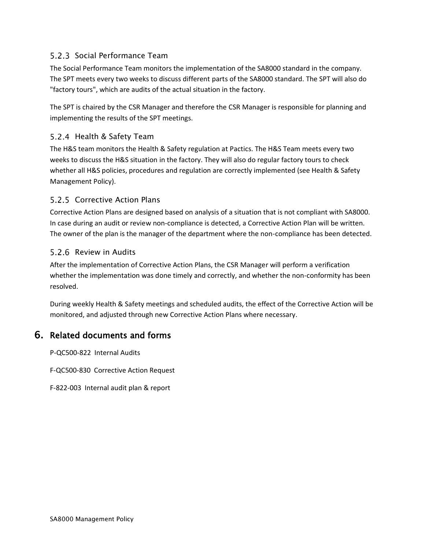## 5.2.3 Social Performance Team

The Social Performance Team monitors the implementation of the SA8000 standard in the company. The SPT meets every two weeks to discuss different parts of the SA8000 standard. The SPT will also do "factory tours", which are audits of the actual situation in the factory.

The SPT is chaired by the CSR Manager and therefore the CSR Manager is responsible for planning and implementing the results of the SPT meetings.

#### 5.2.4 Health & Safety Team

The H&S team monitors the Health & Safety regulation at Pactics. The H&S Team meets every two weeks to discuss the H&S situation in the factory. They will also do regular factory tours to check whether all H&S policies, procedures and regulation are correctly implemented (see Health & Safety Management Policy).

#### 5.2.5 Corrective Action Plans

Corrective Action Plans are designed based on analysis of a situation that is not compliant with SA8000. In case during an audit or review non-compliance is detected, a Corrective Action Plan will be written. The owner of the plan is the manager of the department where the non-compliance has been detected.

#### 5.2.6 Review in Audits

After the implementation of Corrective Action Plans, the CSR Manager will perform a verification whether the implementation was done timely and correctly, and whether the non-conformity has been resolved.

During weekly Health & Safety meetings and scheduled audits, the effect of the Corrective Action will be monitored, and adjusted through new Corrective Action Plans where necessary.

## 6. Related documents and forms

P-QC500-822 Internal Audits

F-QC500-830 Corrective Action Request

F-822-003 Internal audit plan & report